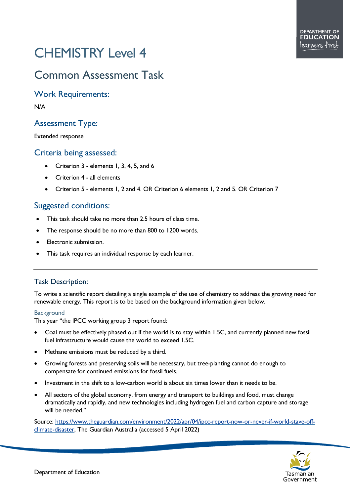# CHEMISTRY Level 4

## Common Assessment Task

Work Requirements:

N/A

## Assessment Type:

Extended response

### Criteria being assessed:

- Criterion 3 elements 1, 3, 4, 5, and 6
- Criterion 4 all elements
- Criterion 5 elements 1, 2 and 4. OR Criterion 6 elements 1, 2 and 5. OR Criterion 7

## Suggested conditions:

- This task should take no more than 2.5 hours of class time.
- The response should be no more than 800 to 1200 words.
- Electronic submission.
- This task requires an individual response by each learner.

#### Task Description:

To write a scientific report detailing a single example of the use of chemistry to address the growing need for renewable energy. This report is to be based on the background information given below.

#### **Background**

This year "the IPCC working group 3 report found:

- Coal must be effectively phased out if the world is to stay within 1.5C, and currently planned new fossil fuel infrastructure would cause the world to exceed 1.5C.
- Methane emissions must be reduced by a third.
- Growing forests and preserving soils will be necessary, but tree-planting cannot do enough to compensate for continued emissions for fossil fuels.
- Investment in the shift to a low-carbon world is about six times lower than it needs to be.
- All sectors of the global economy, from energy and transport to buildings and food, must change dramatically and rapidly, and new technologies including hydrogen fuel and carbon capture and storage will be needed."

Source: [https://www.theguardian.com/environment/2022/apr/04/ipcc-report-now-or-never-if-world-stave-off](https://www.theguardian.com/environment/2022/apr/04/ipcc-report-now-or-never-if-world-stave-off-climate-disaster)[climate-disaster,](https://www.theguardian.com/environment/2022/apr/04/ipcc-report-now-or-never-if-world-stave-off-climate-disaster) The Guardian Australia (accessed 5 April 2022)